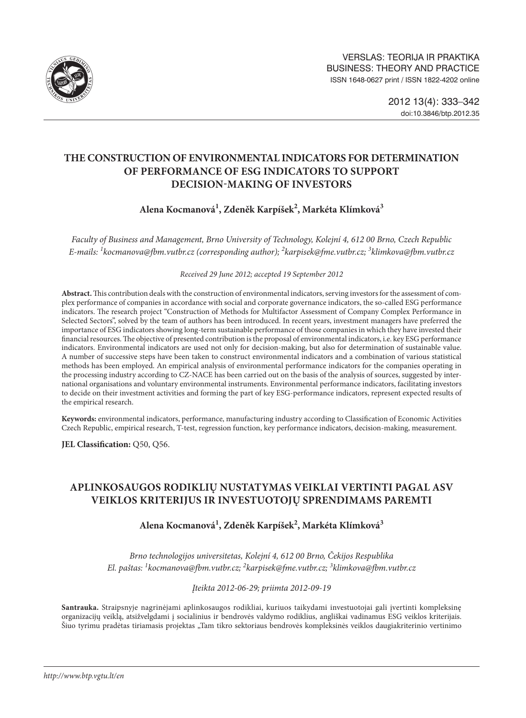

# **THE CONSTRUCTION OF ENVIRONMENTAL INDICATORS FOR DETERMINATION OF PERFORMANCE OF ESG INDICATORS TO SUPPORT DECISION-MAKING OF INVESTORS**

## **Alena Kocmanová1 , Zdeněk Karpíšek2 , Markéta Klímková3**

*Faculty of Business and Management, Brno University of Technology, Kolejní 4, 612 00 Brno, Czech Republic E-mails: 1 [kocmanova@fbm.vutbr.cz](mailto:1kocmanova@fbm.vutbr.cz) (corresponding author); 2 [karpisek@fme.vutbr.cz](mailto:2karpisek@fme.vutbr.cz); 3 klimkova@fbm.vutbr.cz*

*Received 29 June 2012; accepted 19 September 2012*

**Abstract.** This contribution deals with the construction of environmental indicators, serving investors for the assessment of complex performance of companies in accordance with social and corporate governance indicators, the so-called ESG performance indicators. The research project "Construction of Methods for Multifactor Assessment of Company Complex Performance in Selected Sectors", solved by the team of authors has been introduced. In recent years, investment managers have preferred the importance of ESG indicators showing long-term sustainable performance of those companies in which they have invested their financial resources. The objective of presented contribution is the proposal of environmental indicators, i.e. key ESG performance indicators. Environmental indicators are used not only for decision-making, but also for determination of sustainable value. A number of successive steps have been taken to construct environmental indicators and a combination of various statistical methods has been employed. An empirical analysis of environmental performance indicators for the companies operating in the processing industry according to CZ-NACE has been carried out on the basis of the analysis of sources, suggested by international organisations and voluntary environmental instruments. Environmental performance indicators, facilitating investors to decide on their investment activities and forming the part of key ESG-performance indicators, represent expected results of the empirical research.

**Keywords:** environmental indicators, performance, manufacturing industry according to Classification of Economic Activities Czech Republic, empirical research, T-test, regression function, key performance indicators, decision-making, measurement.

**JEL Classification:** Q50, Q56.

# **APLINKOSAUGOS RODIKLIŲ NUSTATYMAS VEIKLAI VERTINTI PAGAL ASV VEIKLOS KRITERIJUS IR INVESTUOTOJŲ SPRENDIMAMS PAREMTI**

# **Alena Kocmanová1 , Zdeněk Karpíšek2 , Markéta Klímková3**

*Brno technologijos universitetas, Kolejní 4, 612 00 Brno, Čekijos Respublika El. paštas: 1 [kocmanova@fbm.vutbr.cz](mailto:1kocmanova@fbm.vutbr.cz); 2 [karpisek@fme.vutbr.cz;](mailto:2karpisek@fme.vutbr.cz) 3 klimkova@fbm.vutbr.cz*

*Įteikta 2012-06-29; priimta 2012-09-19*

**Santrauka.** Straipsnyje nagrinėjami aplinkosaugos rodikliai, kuriuos taikydami investuotojai gali įvertinti kompleksinę organizacijų veiklą, atsižvelgdami į socialinius ir bendrovės valdymo rodiklius, angliškai vadinamus ESG veiklos kriterijais. Šiuo tyrimu pradėtas tiriamasis projektas "Tam tikro sektoriaus bendrovės kompleksinės veiklos daugiakriterinio vertinimo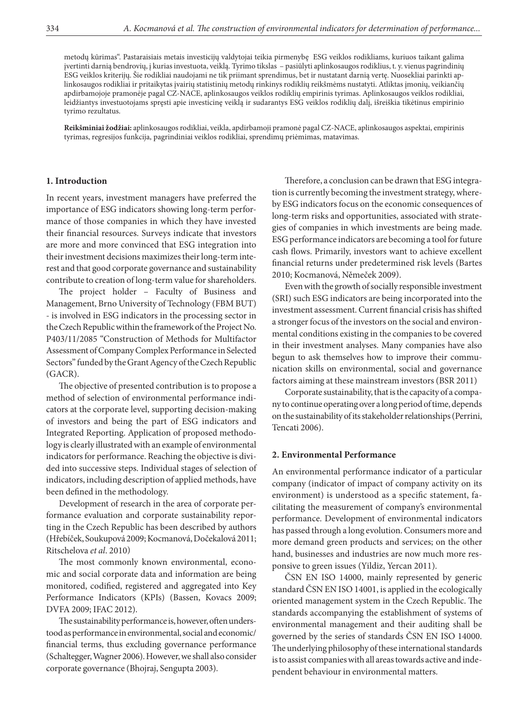metodų kūrimas". Pastaraisiais metais investicijų valdytojai teikia pirmenybę ESG veiklos rodikliams, kuriuos taikant galima įvertinti darnią bendrovių, į kurias investuota, veiklą. Tyrimo tikslas – pasiūlyti aplinkosaugos rodiklius, t. y. vienus pagrindinių ESG veiklos kriterijų. Šie rodikliai naudojami ne tik priimant sprendimus, bet ir nustatant darnią vertę. Nuosekliai parinkti aplinkosaugos rodikliai ir pritaikytas įvairių statistinių metodų rinkinys rodiklių reikšmėms nustatyti. Atliktas įmonių, veikiančių apdirbamojoje pramonėje pagal CZ-NACE, aplinkosaugos veiklos rodiklių empirinis tyrimas. Aplinkosaugos veiklos rodikliai, leidžiantys investuotojams spręsti apie investicinę veiklą ir sudarantys ESG veiklos rodiklių dalį, išreiškia tikėtinus empirinio tyrimo rezultatus.

**Reikšminiai žodžiai:** aplinkosaugos rodikliai, veikla, apdirbamoji pramonė pagal CZ-NACE, aplinkosaugos aspektai, empirinis tyrimas, regresijos funkcija, pagrindiniai veiklos rodikliai, sprendimų priėmimas, matavimas.

#### **1. Introduction**

In recent years, investment managers have preferred the importance of ESG indicators showing long-term performance of those companies in which they have invested their financial resources. Surveys indicate that investors are more and more convinced that ESG integration into their investment decisions maximizes their long-term interest and that good corporate governance and sustainability contribute to creation of long-term value for shareholders.

The project holder – Faculty of Business and Management, Brno University of Technology (FBM BUT) - is involved in ESG indicators in the processing sector in the Czech Republic within the framework of the Project No. P403/11/2085 "Construction of Methods for Multifactor Assessment of Company Complex Performance in Selected Sectors" funded by the Grant Agency of the Czech Republic (GACR).

The objective of presented contribution is to propose a method of selection of environmental performance indicators at the corporate level, supporting decision-making of investors and being the part of ESG indicators and Integrated Reporting. Application of proposed methodology is clearly illustrated with an example of environmental indicators for performance. Reaching the objective is divided into successive steps. Individual stages of selection of indicators, including description of applied methods, have been defined in the methodology.

Development of research in the area of corporate performance evaluation and corporate sustainability reporting in the Czech Republic has been described by authors (Hřebíček, Soukupová 2009; Kocmanová, Dočekalová 2011; Ritschelova *et al*. 2010)

The most commonly known environmental, economic and social corporate data and information are being monitored, codified, registered and aggregated into Key Performance Indicators (KPIs) (Bassen, Kovacs 2009; DVFA 2009; IFAC 2012).

The sustainability performance is, however, often understood as performance in environmental, social and economic/ financial terms, thus excluding governance performance (Schaltegger, Wagner 2006). However, we shall also consider corporate governance (Bhojraj, Sengupta 2003).

Therefore, a conclusion can be drawn that ESG integration is currently becoming the investment strategy, whereby ESG indicators focus on the economic consequences of long-term risks and opportunities, associated with strategies of companies in which investments are being made. ESG performance indicators are becoming a tool for future cash flows. Primarily, investors want to achieve excellent financial returns under predetermined risk levels (Bartes 2010; Kocmanová, Němeček 2009).

Even with the growth of socially responsible investment (SRI) such ESG indicators are being incorporated into the investment assessment. Current financial crisis has shifted a stronger focus of the investors on the social and environmental conditions existing in the companies to be covered in their investment analyses. Many companies have also begun to ask themselves how to improve their communication skills on environmental, social and governance factors aiming at these mainstream investors (BSR 2011)

Corporate sustainability, that is the capacity of a company to continue operating over a long period of time, depends on the sustainability of its stakeholder relationships (Perrini, Tencati 2006).

#### **2. Environmental Performance**

An environmental performance indicator of a particular company (indicator of impact of company activity on its environment) is understood as a specific statement, facilitating the measurement of company's environmental performance. Development of environmental indicators has passed through a long evolution. Consumers more and more demand green products and services; on the other hand, businesses and industries are now much more responsive to green issues (Yildiz, Yercan 2011).

ČSN EN ISO 14000, mainly represented by generic standard ČSN EN ISO 14001, is applied in the ecologically oriented management system in the Czech Republic. The standards accompanying the establishment of systems of environmental management and their auditing shall be governed by the series of standards ČSN EN ISO 14000. The underlying philosophy of these international standards is to assist companies with all areas towards active and independent behaviour in environmental matters.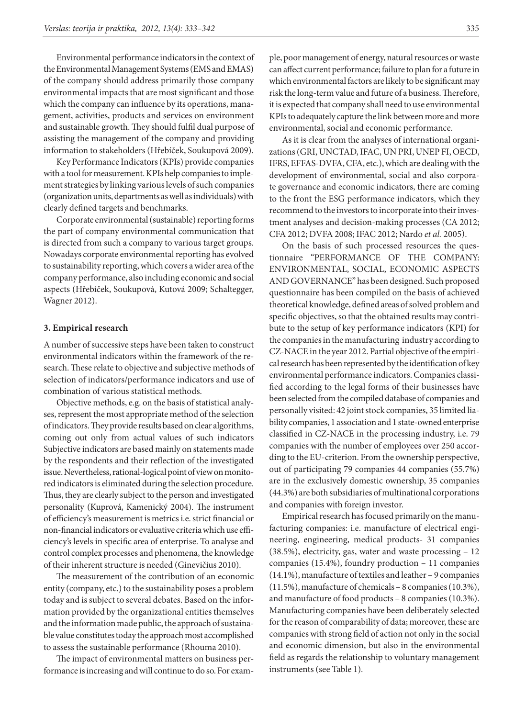Environmental performance indicators in the context of the Environmental Management Systems (EMS and EMAS) of the company should address primarily those company environmental impacts that are most significant and those which the company can influence by its operations, management, activities, products and services on environment and sustainable growth. They should fulfil dual purpose of assisting the management of the company and providing information to stakeholders (Hřebíček, Soukupová 2009).

Key Performance Indicators (KPIs) provide companies with a tool for measurement. KPIs help companies to implement strategies by linking various levels of such companies (organization units, departments as well as individuals) with clearly defined targets and benchmarks.

Corporate environmental (sustainable) reporting forms the part of company environmental communication that is directed from such a company to various target groups. Nowadays corporate environmental reporting has evolved to sustainability reporting, which covers a wider area of the company performance, also including economic and social aspects (Hřebíček, Soukupová, Kutová 2009; Schaltegger, Wagner 2012).

#### **3. Empirical research**

A number of successive steps have been taken to construct environmental indicators within the framework of the research. These relate to objective and subjective methods of selection of indicators/performance indicators and use of combination of various statistical methods.

Objective methods, e.g. on the basis of statistical analyses, represent the most appropriate method of the selection of indicators. They provide results based on clear algorithms, coming out only from actual values of such indicators Subjective indicators are based mainly on statements made by the respondents and their reflection of the investigated issue. Nevertheless, rational-logical point of view on monitored indicators is eliminated during the selection procedure. Thus, they are clearly subject to the person and investigated personality (Kuprová, Kamenický 2004). The instrument of efficiency's measurement is metrics i.e. strict financial or non-financial indicators or evaluative criteria which use efficiency's levels in specific area of enterprise. To analyse and control complex processes and phenomena, the knowledge of their inherent structure is needed (Ginevičius 2010).

The measurement of the contribution of an economic entity (company, etc.) to the sustainability poses a problem today and is subject to several debates. Based on the information provided by the organizational entities themselves and the information made public, the approach of sustainable value constitutes today the approach most accomplished to assess the sustainable performance (Rhouma 2010).

The impact of environmental matters on business performance is increasing and will continue to do so. For example, poor management of energy, natural resources or waste can affect current performance; failure to plan for a future in which environmental factors are likely to be significant may risk the long-term value and future of a business. Therefore, it is expected that company shall need to use environmental KPIs to adequately capture the link between more and more environmental, social and economic performance.

As it is clear from the analyses of international organizations (GRI, UNCTAD, IFAC, UN PRI, UNEP FI, OECD, IFRS, EFFAS-DVFA, CFA, etc.), which are dealing with the development of environmental, social and also corporate governance and economic indicators, there are coming to the front the ESG performance indicators, which they recommend to the investors to incorporate into their investment analyses and decision-making processes (CA 2012; CFA 2012; DVFA 2008; IFAC 2012; Nardo *et al.* 2005).

On the basis of such processed resources the questionnaire "PERFORMANCE OF THE COMPANY: ENVIRONMENTAL, SOCIAL, ECONOMIC ASPECTS AND GOVERNANCE" has been designed. Such proposed questionnaire has been compiled on the basis of achieved theoretical knowledge, defined areas of solved problem and specific objectives, so that the obtained results may contribute to the setup of key performance indicators (KPI) for the companies in the manufacturing industry according to CZ-NACE in the year 2012. Partial objective of the empirical research has been represented by the identification of key environmental performance indicators. Companies classified according to the legal forms of their businesses have been selected from the compiled database of companies and personally visited: 42 joint stock companies, 35 limited liability companies, 1 association and 1 state-owned enterprise classified in CZ-NACE in the processing industry, i.e. 79 companies with the number of employees over 250 according to the EU-criterion. From the ownership perspective, out of participating 79 companies 44 companies (55.7%) are in the exclusively domestic ownership, 35 companies (44.3%) are both subsidiaries of multinational corporations and companies with foreign investor.

Empirical research has focused primarily on the manufacturing companies: i.e. manufacture of electrical engineering, engineering, medical products- 31 companies (38.5%), electricity, gas, water and waste processing – 12 companies (15.4%), foundry production – 11 companies (14.1%), manufacture of textiles and leather – 9 companies (11.5%), manufacture of chemicals – 8 companies (10.3%), and manufacture of food products – 8 companies (10.3%). Manufacturing companies have been deliberately selected for the reason of comparability of data; moreover, these are companies with strong field of action not only in the social and economic dimension, but also in the environmental field as regards the relationship to voluntary management instruments (see Table 1).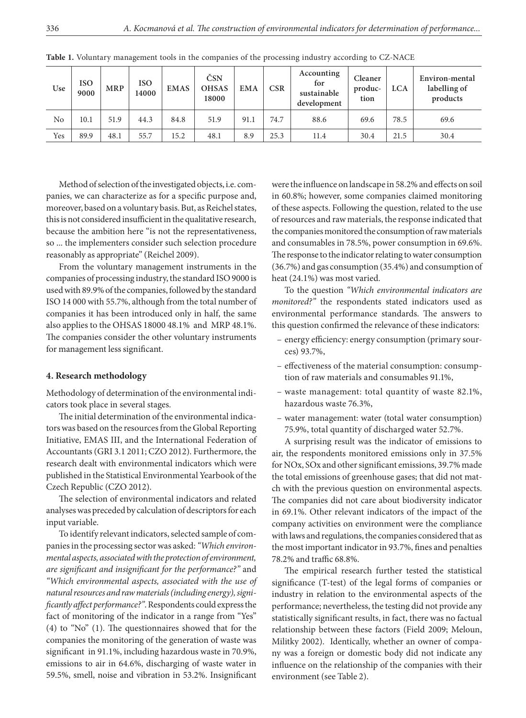| Use | <b>ISO</b><br>9000 | MRP  | <b>ISO</b><br>14000 | <b>EMAS</b> | ČSN<br><b>OHSAS</b><br>18000 | <b>EMA</b> | $\mathbf{CSR}$ | Accounting<br>for<br>sustainable<br>development | Cleaner<br>produc-<br>tion | <b>LCA</b> | Environ-mental<br>labelling of<br>products |
|-----|--------------------|------|---------------------|-------------|------------------------------|------------|----------------|-------------------------------------------------|----------------------------|------------|--------------------------------------------|
| No  | 10.1               | 51.9 | 44.3                | 84.8        | 51.9                         | 91.1       | 74.7           | 88.6                                            | 69.6                       | 78.5       | 69.6                                       |
| Yes | 89.9               | 48.1 | 55.7                | 15.2        | 48.1                         | 8.9        | 25.3           | 11.4                                            | 30.4                       | 21.5       | 30.4                                       |

**Table 1.** Voluntary management tools in the companies of the processing industry according to CZ-NACE

Method of selection of the investigated objects, i.e. companies, we can characterize as for a specific purpose and, moreover, based on a voluntary basis. But, as Reichel states, this is not considered insufficient in the qualitative research, because the ambition here "is not the representativeness, so ... the implementers consider such selection procedure reasonably as appropriate" (Reichel 2009).

From the voluntary management instruments in the companies of processing industry, the standard ISO 9000 is used with 89.9% of the companies, followed by the standard ISO 14 000 with 55.7%, although from the total number of companies it has been introduced only in half, the same also applies to the OHSAS 18000 48.1% and MRP 48.1%. The companies consider the other voluntary instruments for management less significant.

### **4. Research methodology**

Methodology of determination of the environmental indicators took place in several stages.

The initial determination of the environmental indicators was based on the resources from the Global Reporting Initiative, EMAS III, and the International Federation of Accountants (GRI 3.1 2011; CZO 2012). Furthermore, the research dealt with environmental indicators which were published in the Statistical Environmental Yearbook of the Czech Republic (CZO 2012).

The selection of environmental indicators and related analyses was preceded by calculation of descriptors for each input variable.

To identify relevant indicators, selected sample of companies in the processing sector was asked: *"Which environmental aspects, associated with the protection of environment, are significant and insignificant for the performance?"* and *"Which environmental aspects, associated with the use of natural resources and raw materials (including energy), significantly affect performance?"*. Respondents could express the fact of monitoring of the indicator in a range from "Yes" (4) to "No" (1). The questionnaires showed that for the companies the monitoring of the generation of waste was significant in 91.1%, including hazardous waste in 70.9%, emissions to air in 64.6%, discharging of waste water in 59.5%, smell, noise and vibration in 53.2%. Insignificant

were the influence on landscape in 58.2% and effects on soil in 60.8%; however, some companies claimed monitoring of these aspects. Following the question, related to the use of resources and raw materials, the response indicated that the companies monitored the consumption of raw materials and consumables in 78.5%, power consumption in 69.6%. The response to the indicator relating to water consumption (36.7%) and gas consumption (35.4%) and consumption of heat (24.1%) was most varied.

To the question *"Which environmental indicators are monitored?"* the respondents stated indicators used as environmental performance standards. The answers to this question confirmed the relevance of these indicators:

- energy efficiency: energy consumption (primary sources) 93.7%,
- effectiveness of the material consumption: consumption of raw materials and consumables 91.1%,
- waste management: total quantity of waste 82.1%, hazardous waste 76.3%,
- water management: water (total water consumption) 75.9%, total quantity of discharged water 52.7%.

A surprising result was the indicator of emissions to air, the respondents monitored emissions only in 37.5% for NOx, SOx and other significant emissions, 39.7% made the total emissions of greenhouse gases; that did not match with the previous question on environmental aspects. The companies did not care about biodiversity indicator in 69.1%. Other relevant indicators of the impact of the company activities on environment were the compliance with laws and regulations, the companies considered that as the most important indicator in 93.7%, fines and penalties 78.2% and traffic 68.8%.

The empirical research further tested the statistical significance (T-test) of the legal forms of companies or industry in relation to the environmental aspects of the performance; nevertheless, the testing did not provide any statistically significant results, in fact, there was no factual relationship between these factors (Field 2009; Meloun, Militky 2002). Identically, whether an owner of company was a foreign or domestic body did not indicate any influence on the relationship of the companies with their environment (see Table 2).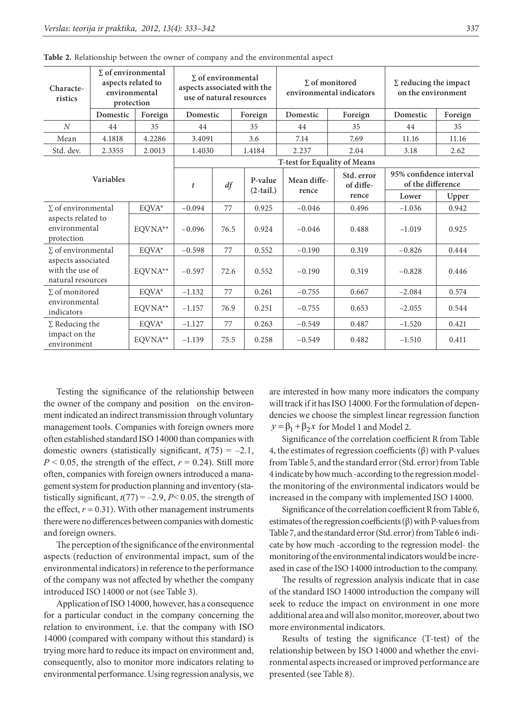| Characte-<br>ristics                                       | $\Sigma$ of environmental<br>aspects related to<br>environmental<br>protection |                       | $\Sigma$ of environmental<br>aspects associated with the<br>use of natural resources |      |         |                        | $\Sigma$ of monitored<br>environmental indicators |                         | $\Sigma$ reducing the impact<br>on the environment |         |
|------------------------------------------------------------|--------------------------------------------------------------------------------|-----------------------|--------------------------------------------------------------------------------------|------|---------|------------------------|---------------------------------------------------|-------------------------|----------------------------------------------------|---------|
|                                                            | Domestic                                                                       | Foreign               | Domestic                                                                             |      | Foreign |                        | Domestic                                          | Foreign                 | Domestic                                           | Foreign |
| N                                                          | 44                                                                             | 35                    | 44                                                                                   |      | 35      |                        | 44                                                | 35                      | 44                                                 | 35      |
| Mean                                                       | 4.1818                                                                         | 4.2286                | 3.4091                                                                               |      | 3.6     |                        | 7.14                                              | 7.69                    | 11.16                                              | 11.16   |
| Std. dev.                                                  | 2.3355                                                                         | 2.0013                | 1.4030                                                                               |      | 1.4184  |                        | 2.237                                             | 2.04                    | 3.18                                               | 2.62    |
|                                                            |                                                                                |                       |                                                                                      |      |         |                        | T-test for Equality of Means                      |                         |                                                    |         |
| <b>Variables</b>                                           |                                                                                |                       | $\mathfrak{t}$                                                                       | df   |         | P-value<br>$(2-tail.)$ | Mean diffe-<br>rence                              | Std. error<br>of diffe- | 95% confidence interval<br>of the difference       |         |
|                                                            |                                                                                |                       |                                                                                      |      |         |                        |                                                   | rence                   | Lower                                              | Upper   |
| $\Sigma$ of environmental                                  |                                                                                | EQVA*                 | $-0.094$                                                                             | 77   |         | 0.925                  | $-0.046$                                          | 0.496                   | $-1.036$                                           | 0.942   |
| aspects related to<br>environmental<br>protection          |                                                                                | EOVNA**               | $-0.096$                                                                             | 76.5 |         | 0.924                  | $-0.046$                                          | 0.488                   | $-1.019$                                           | 0.925   |
| $\Sigma$ of environmental                                  |                                                                                | $\text{EQVA}^{\star}$ | $-0.598$                                                                             | 77   |         | 0.552                  | $-0.190$                                          | 0.319                   | $-0.826$                                           | 0.444   |
| aspects associated<br>with the use of<br>natural resources |                                                                                | EQVNA**               | $-0.597$                                                                             | 72.6 |         | 0.552                  | $-0.190$                                          | 0.319                   | $-0.828$                                           | 0.446   |
| $\Sigma$ of monitored                                      |                                                                                | EQVA*                 | $-1.132$                                                                             | 77   |         | 0.261                  | $-0.755$                                          | 0.667                   | $-2.084$                                           | 0.574   |
| environmental<br>indicators                                |                                                                                | EQVNA**               | $-1.157$                                                                             | 76.9 |         | 0.251                  | $-0.755$                                          | 0.653                   | $-2.055$                                           | 0.544   |
| $\Sigma$ Reducing the                                      |                                                                                | EOVA*                 | $-1.127$                                                                             | 77   |         | 0.263                  | $-0.549$                                          | 0.487                   | $-1.520$                                           | 0.421   |
| impact on the<br>environment                               |                                                                                | EOVNA**               | $-1.139$                                                                             | 75.5 |         | 0.258                  | $-0.549$                                          | 0.482                   | $-1.510$                                           | 0.411   |

**Table 2.** Relationship between the owner of company and the environmental aspect

Testing the significance of the relationship between the owner of the company and position on the environment indicated an indirect transmission through voluntary management tools. Companies with foreign owners more often established standard ISO 14000 than companies with domestic owners (statistically significant,  $t(75) = -2.1$ ,  $P \le 0.05$ , the strength of the effect,  $r = 0.24$ ). Still more often, companies with foreign owners introduced a management system for production planning and inventory (statistically significant,  $t(77) = -2.9$ ,  $P < 0.05$ , the strength of the effect,  $r = 0.31$ ). With other management instruments there were no differences between companies with domestic and foreign owners.

The perception of the significance of the environmental aspects (reduction of environmental impact, sum of the environmental indicators) in reference to the performance of the company was not affected by whether the company introduced ISO 14000 or not (see Table 3).

Application of ISO 14000, however, has a consequence for a particular conduct in the company concerning the relation to environment, i.e. that the company with ISO 14000 (compared with company without this standard) is trying more hard to reduce its impact on environment and, consequently, also to monitor more indicators relating to environmental performance. Using regression analysis, we are interested in how many more indicators the company will track if it has ISO 14000. For the formulation of dependencies we choose the simplest linear regression function  $y = \beta_1 + \beta_2 x$  for Model 1 and Model 2.

Significance of the correlation coefficient R from Table 4, the estimates of regression coefficients (β) with P-values from Table 5, and the standard error (Std. error) from Table 4 indicate by how much -according to the regression modelthe monitoring of the environmental indicators would be increased in the company with implemented ISO 14000.

Significance of the correlation coefficient R from Table 6, estimates of the regression coefficients (β) with P-values from Table 7, and the standard error (Std. error) from Table 6 indicate by how much -according to the regression model- the monitoring of the environmental indicators would be increased in case of the ISO 14000 introduction to the company.

The results of regression analysis indicate that in case of the standard ISO 14000 introduction the company will seek to reduce the impact on environment in one more additional area and will also monitor, moreover, about two more environmental indicators.

Results of testing the significance (T-test) of the relationship between by ISO 14000 and whether the environmental aspects increased or improved performance are presented (see Table 8).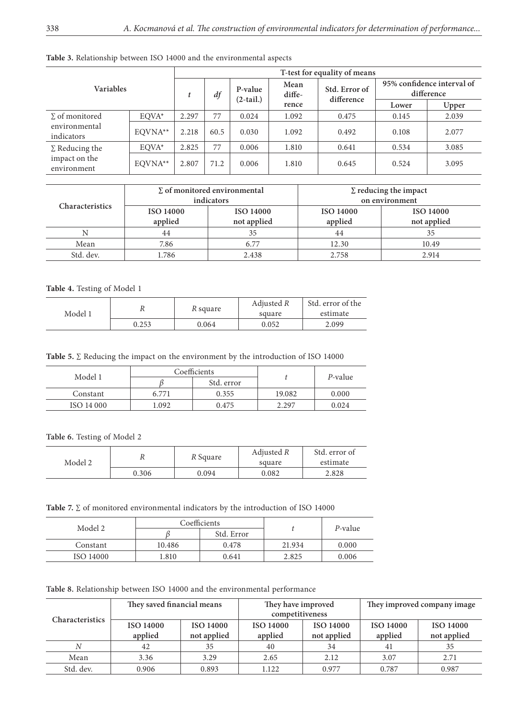|                              |         | T-test for equality of means |                        |                |                             |                                          |       |       |  |
|------------------------------|---------|------------------------------|------------------------|----------------|-----------------------------|------------------------------------------|-------|-------|--|
| <b>Variables</b>             | t       | df                           | P-value<br>$(2-tail.)$ | Mean<br>diffe- | Std. Error of<br>difference | 95% confidence interval of<br>difference |       |       |  |
|                              |         |                              |                        | rence          |                             | Lower                                    | Upper |       |  |
| $\Sigma$ of monitored        | EOVA*   | 2.297                        | 77                     | 0.024          | 1.092                       | 0.475                                    | 0.145 | 2.039 |  |
| environmental<br>indicators  | EOVNA** | 2.218                        | 60.5                   | 0.030          | 1.092                       | 0.492                                    | 0.108 | 2.077 |  |
| $\Sigma$ Reducing the        | EOVA*   | 2.825                        | 77                     | 0.006          | 1.810                       | 0.641                                    | 0.534 | 3.085 |  |
| impact on the<br>environment | EOVNA** | 2.807                        | 71.2                   | 0.006          | 1.810                       | 0.645                                    | 0.524 | 3.095 |  |

**Table 3.** Relationship between ISO 14000 and the environmental aspects

| <b>Characteristics</b> |                             | $\Sigma$ of monitored environmental<br>indicators | $\Sigma$ reducing the impact<br>on environment |                                 |  |
|------------------------|-----------------------------|---------------------------------------------------|------------------------------------------------|---------------------------------|--|
|                        | <b>ISO 14000</b><br>applied | <b>ISO 14000</b><br>not applied                   | <b>ISO 14000</b><br>applied                    | <b>ISO 14000</b><br>not applied |  |
|                        | 44                          | 35                                                | 44                                             | 35                              |  |
| Mean                   | 7.86                        | 6.77                                              | 12.30                                          | 10.49                           |  |
| Std. dev.              | .786                        | 2.438                                             | 2.758                                          | 2.914                           |  |

### **Table 4.** Testing of Model 1

 $\overline{\phantom{a}}$ 

 $\overline{a}$ 

| Model 1 |       | R square | Adjusted R<br>square | Std. error of the<br>estimate |
|---------|-------|----------|----------------------|-------------------------------|
|         | 0.253 | 0.064    | 0.052                | 2.099                         |

Table 5. ∑ Reducing the impact on the environment by the introduction of ISO 14000

| Model 1    |       | Coefficients |        | P-value |  |
|------------|-------|--------------|--------|---------|--|
|            |       | Std. error   |        |         |  |
| Constant   | 6.771 | 0.355        | 19.082 | 0.000   |  |
| ISO 14 000 | .092  | 0.475        | 2.297  | 0.024   |  |

**Table 6.** Testing of Model 2

| Model 2 | $\mathbf{v}$ | R Square | Adjusted R<br>square | Std. error of<br>estimate |
|---------|--------------|----------|----------------------|---------------------------|
|         | 0.306        | 0.094    | 0.082                | 2.828                     |

**Table 7.** ∑ of monitored environmental indicators by the introduction of ISO 14000

| Model 2   |        | Coefficients |        | P-value |  |
|-----------|--------|--------------|--------|---------|--|
|           |        | Std. Error   |        |         |  |
| Constant  | 10.486 | 0.478        | 21.934 | 0.000   |  |
| ISO 14000 | 1.810  | 0.641        | 2.825  | 0.006   |  |

**Table 8.** Relationship between ISO 14000 and the environmental performance

|                 | They saved financial means           |             | They have improved<br>competitiveness |                  |         | They improved company image |
|-----------------|--------------------------------------|-------------|---------------------------------------|------------------|---------|-----------------------------|
| Characteristics | <b>ISO 14000</b><br><b>ISO 14000</b> |             | <b>ISO 14000</b>                      | <b>ISO 14000</b> |         | <b>ISO 14000</b>            |
|                 | applied                              | not applied | applied                               | not applied      | applied | not applied                 |
| N               | 42                                   | 35          | 40                                    | 34               | 41      | 35                          |
| Mean            | 3.36                                 | 3.29        | 2.65                                  | 2.12             | 3.07    | 2.71                        |
| Std. dev.       | 0.906                                | 0.893       | 1.122                                 | 0.977            | 0.787   | 0.987                       |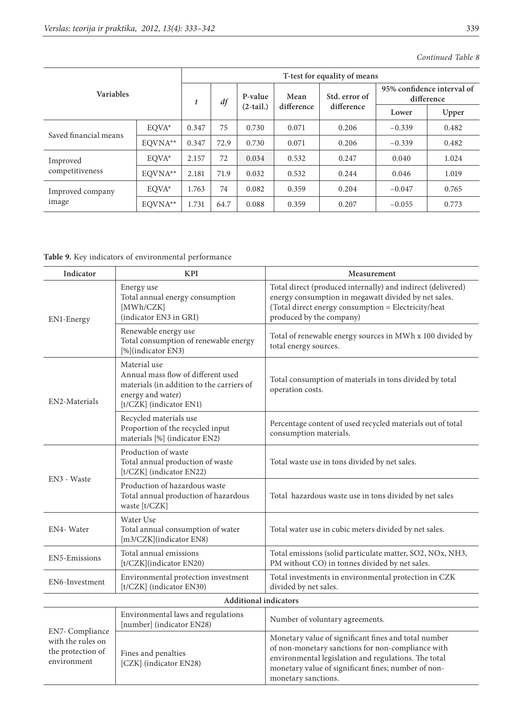|                       |           | T-test for equality of means |         |             |               |            |                                          |       |  |  |
|-----------------------|-----------|------------------------------|---------|-------------|---------------|------------|------------------------------------------|-------|--|--|
| <b>Variables</b>      | t         | df                           | P-value | Mean        | Std. error of |            | 95% confidence interval of<br>difference |       |  |  |
|                       |           |                              |         | $(2-tail.)$ | difference    | difference | Lower                                    | Upper |  |  |
|                       | EOVA*     | 0.347                        | 75      | 0.730       | 0.071         | 0.206      | $-0.339$                                 | 0.482 |  |  |
| Saved financial means | EQVNA**   | 0.347                        | 72.9    | 0.730       | 0.071         | 0.206      | $-0.339$                                 | 0.482 |  |  |
| Improved              | EOVA*     | 2.157                        | 72      | 0.034       | 0.532         | 0.247      | 0.040                                    | 1.024 |  |  |
| competitiveness       | $EOVNA**$ | 2.181                        | 71.9    | 0.032       | 0.532         | 0.244      | 0.046                                    | 1.019 |  |  |
| Improved company      | $EOVA*$   | 1.763                        | 74      | 0.082       | 0.359         | 0.204      | $-0.047$                                 | 0.765 |  |  |
| image                 | EOVNA**   | 1.731                        | 64.7    | 0.088       | 0.359         | 0.207      | $-0.055$                                 | 0.773 |  |  |

## *Continued Table 8*

**Table 9.** Key indicators of environmental performance

| Indicator                                                                | <b>KPI</b>                                                                                                                                      | Measurement                                                                                                                                                                                                                                     |
|--------------------------------------------------------------------------|-------------------------------------------------------------------------------------------------------------------------------------------------|-------------------------------------------------------------------------------------------------------------------------------------------------------------------------------------------------------------------------------------------------|
| EN1-Energy                                                               | Energy use<br>Total annual energy consumption<br>[MWh/CZK]<br>(indicator EN3 in GRI)                                                            | Total direct (produced internally) and indirect (delivered)<br>energy consumption in megawatt divided by net sales.<br>(Total direct energy consumption = Electricity/heat<br>produced by the company)                                          |
|                                                                          | Renewable energy use<br>Total consumption of renewable energy<br>[%](indicator EN3)                                                             | Total of renewable energy sources in MWh x 100 divided by<br>total energy sources.                                                                                                                                                              |
| EN2-Materials                                                            | Material use<br>Annual mass flow of different used<br>materials (in addition to the carriers of<br>energy and water)<br>[t/CZK] (indicator EN1) | Total consumption of materials in tons divided by total<br>operation costs.                                                                                                                                                                     |
|                                                                          | Recycled materials use<br>Proportion of the recycled input<br>materials [%] (indicator EN2)                                                     | Percentage content of used recycled materials out of total<br>consumption materials.                                                                                                                                                            |
| EN3 - Waste                                                              | Production of waste<br>Total annual production of waste<br>[t/CZK] (indicator EN22)                                                             | Total waste use in tons divided by net sales.                                                                                                                                                                                                   |
|                                                                          | Production of hazardous waste<br>Total annual production of hazardous<br>waste [t/CZK]                                                          | Total hazardous waste use in tons divided by net sales                                                                                                                                                                                          |
| EN4-Water                                                                | Water Use<br>Total annual consumption of water<br>[m3/CZK](indicator EN8)                                                                       | Total water use in cubic meters divided by net sales.                                                                                                                                                                                           |
| EN5-Emissions                                                            | Total annual emissions<br>[t/CZK](indicator EN20)                                                                                               | Total emissions (solid particulate matter, SO2, NOx, NH3,<br>PM without CO) in tonnes divided by net sales.                                                                                                                                     |
| EN6-Investment                                                           | Environmental protection investment<br>[t/CZK] (indicator EN30)                                                                                 | Total investments in environmental protection in CZK<br>divided by net sales.                                                                                                                                                                   |
|                                                                          | <b>Additional indicators</b>                                                                                                                    |                                                                                                                                                                                                                                                 |
|                                                                          | Environmental laws and regulations<br>[number] (indicator EN28)                                                                                 | Number of voluntary agreements.                                                                                                                                                                                                                 |
| EN7- Compliance<br>with the rules on<br>the protection of<br>environment | Fines and penalties<br>[CZK] (indicator EN28)                                                                                                   | Monetary value of significant fines and total number<br>of non-monetary sanctions for non-compliance with<br>environmental legislation and regulations. The total<br>monetary value of significant fines; number of non-<br>monetary sanctions. |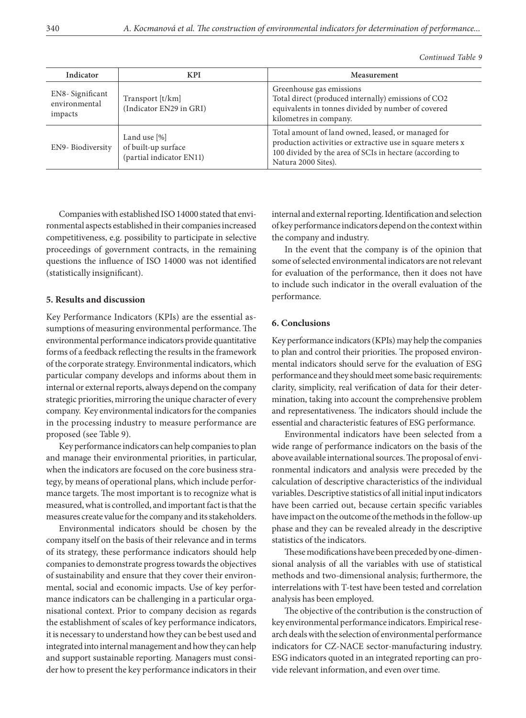| Indicator                                   | <b>KPI</b>                                                      | Measurement                                                                                                                                                                                         |
|---------------------------------------------|-----------------------------------------------------------------|-----------------------------------------------------------------------------------------------------------------------------------------------------------------------------------------------------|
| EN8-Significant<br>environmental<br>impacts | Transport [t/km]<br>(Indicator EN29 in GRI)                     | Greenhouse gas emissions<br>Total direct (produced internally) emissions of CO2<br>equivalents in tonnes divided by number of covered<br>kilometres in company.                                     |
| EN9-Biodiversity                            | Land use [%]<br>of built-up surface<br>(partial indicator EN11) | Total amount of land owned, leased, or managed for<br>production activities or extractive use in square meters x<br>100 divided by the area of SCIs in hectare (according to<br>Natura 2000 Sites). |

Companies with established ISO 14000 stated that environmental aspects established in their companies increased competitiveness, e.g. possibility to participate in selective proceedings of government contracts, in the remaining questions the influence of ISO 14000 was not identified (statistically insignificant).

### **5. Results and discussion**

Key Performance Indicators (KPIs) are the essential assumptions of measuring environmental performance. The environmental performance indicators provide quantitative forms of a feedback reflecting the results in the framework of the corporate strategy. Environmental indicators, which particular company develops and informs about them in internal or external reports, always depend on the company strategic priorities, mirroring the unique character of every company. Key environmental indicators for the companies in the processing industry to measure performance are proposed (see Table 9).

Key performance indicators can help companies to plan and manage their environmental priorities, in particular, when the indicators are focused on the core business strategy, by means of operational plans, which include performance targets. The most important is to recognize what is measured, what is controlled, and important fact is that the measures create value for the company and its stakeholders.

Environmental indicators should be chosen by the company itself on the basis of their relevance and in terms of its strategy, these performance indicators should help companies to demonstrate progress towards the objectives of sustainability and ensure that they cover their environmental, social and economic impacts. Use of key performance indicators can be challenging in a particular organisational context. Prior to company decision as regards the establishment of scales of key performance indicators, it is necessary to understand how they can be best used and integrated into internal management and how they can help and support sustainable reporting. Managers must consider how to present the key performance indicators in their

internal and external reporting. Identification and selection of key performance indicators depend on the context within the company and industry.

In the event that the company is of the opinion that some of selected environmental indicators are not relevant for evaluation of the performance, then it does not have to include such indicator in the overall evaluation of the performance.

### **6. Conclusions**

Key performance indicators (KPIs) may help the companies to plan and control their priorities. The proposed environmental indicators should serve for the evaluation of ESG performance and they should meet some basic requirements: clarity, simplicity, real verification of data for their determination, taking into account the comprehensive problem and representativeness. The indicators should include the essential and characteristic features of ESG performance.

Environmental indicators have been selected from a wide range of performance indicators on the basis of the above available international sources. The proposal of environmental indicators and analysis were preceded by the calculation of descriptive characteristics of the individual variables. Descriptive statistics of all initial input indicators have been carried out, because certain specific variables have impact on the outcome of the methods in the follow-up phase and they can be revealed already in the descriptive statistics of the indicators.

These modifications have been preceded by one-dimensional analysis of all the variables with use of statistical methods and two-dimensional analysis; furthermore, the interrelations with T-test have been tested and correlation analysis has been employed.

The objective of the contribution is the construction of key environmental performance indicators. Empirical research deals with the selection of environmental performance indicators for CZ-NACE sector-manufacturing industry. ESG indicators quoted in an integrated reporting can provide relevant information, and even over time.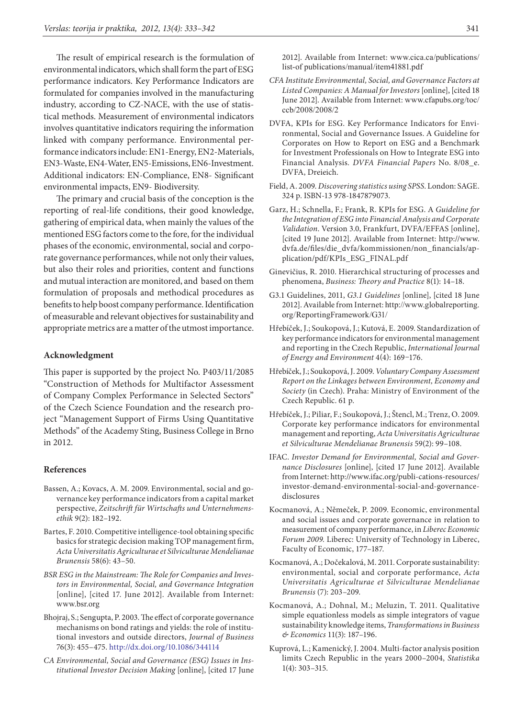The result of empirical research is the formulation of environmental indicators, which shall form the part of ESG performance indicators. Key Performance Indicators are formulated for companies involved in the manufacturing industry, according to CZ-NACE, with the use of statistical methods. Measurement of environmental indicators involves quantitative indicators requiring the information linked with company performance. Environmental performance indicators include: EN1-Energy, EN2-Materials, EN3-Waste, EN4-Water, EN5-Emissions, EN6-Investment. Additional indicators: EN-Compliance, EN8- Significant environmental impacts, EN9- Biodiversity.

The primary and crucial basis of the conception is the reporting of real-life conditions, their good knowledge, gathering of empirical data, when mainly the values of the mentioned ESG factors come to the fore, for the individual phases of the economic, environmental, social and corporate governance performances, while not only their values, but also their roles and priorities, content and functions and mutual interaction are monitored, and based on them formulation of proposals and methodical procedures as benefits to help boost company performance. Identification of measurable and relevant objectives for sustainability and appropriate metrics are a matter of the utmost importance.

#### **Acknowledgment**

This paper is supported by the project No. P403/11/2085 "Construction of Methods for Multifactor Assessment of Company Complex Performance in Selected Sectors" of the Czech Science Foundation and the research project "Management Support of Firms Using Quantitative Methods" of the Academy Sting, Business College in Brno in 2012.

### **References**

- Bassen, A.; Kovacs, A. M. 2009. Environmental, social and governance key performance indicators from a capital market perspective, *Zeitschrift für Wirtschafts und Unternehmensethik* 9(2): 182–192.
- Bartes, F. 2010. Competitive intelligence-tool obtaining specific basics for strategic decision making TOP management firm, *Acta Universitatis Agriculturae et Silviculturae Mendelianae Brunensis* 58(6): 43–50.
- *BSR ESG in the Mainstream: The Role for Companies and Investors in Environmental, Social, and Governance Integration* [online], [cited 17. June 2012]. Available from Internet: www.bsr.org
- Bhojraj, S.; Sengupta, P. 2003. The effect of corporate governance mechanisms on bond ratings and yields: the role of institutional investors and outside directors, *Journal of Business* 76(3): 455–475. <http://dx.doi.org/10.1086/344114>
- *CA Environmental, Social and Governance (ESG) Issues in Institutional Investor Decision Making* [online], [cited 17 June
- *CFA Institute Environmental, Social, and Governance Factors at Listed Companies: A Manual for Investors* [online], [cited 18 June 2012]. Available from Internet: [www.cfapubs.org/toc/](http://www.cfapubs.org/toc/ccb/2008/2008/2) [ccb/2008/2008/2](http://www.cfapubs.org/toc/ccb/2008/2008/2)
- DVFA, KPIs for ESG. Key Performance Indicators for Environmental, Social and Governance Issues. A Guideline for Corporates on How to Report on ESG and a Benchmark for Investment Professionals on How to Integrate ESG into Financial Analysis*. DVFA Financial Papers* No. 8/08\_e. DVFA, Dreieich.
- Field, A. 2009. *Discovering statistics using SPSS*. London: SAGE. 324 p. ISBN-13 978-1847879073.
- Garz, H.; Schnella, F.; Frank, R. KPIs for ESG. A *Guideline for the Integration of ESG into Financial Analysis and Corporate Validation*. Version 3.0, Frankfurt, DVFA/EFFAS [online], [cited 19 June 2012]. Available from Internet: [http://www.](http://www.dvfa.de/files/die_dvfa/kommissionen/non_financials/application/pdf/KPIs_ESG_FINAL.pdf) [dvfa.de/files/die\\_dvfa/kommissionen/non\\_financials/ap](http://www.dvfa.de/files/die_dvfa/kommissionen/non_financials/application/pdf/KPIs_ESG_FINAL.pdf)[plication/pdf/KPIs\\_ESG\\_FINAL.pdf](http://www.dvfa.de/files/die_dvfa/kommissionen/non_financials/application/pdf/KPIs_ESG_FINAL.pdf)
- Ginevičius, R. 2010. Hierarchical structuring of processes and phenomena, *Business: Theory and Practice* 8(1): 14–18.
- G3.1 Guidelines, 2011, *G3.1 Guidelines* [online], [cited 18 June 2012]. Available from Internet: [http://www.globalreporting.](http://www.globalreporting.org/ReportingFramework/G31/) [org/ReportingFramework/G31/](http://www.globalreporting.org/ReportingFramework/G31/)
- Hřebíček, J.; Soukopová, J.; Kutová, E. 2009. Standardization of key performance indicators for environmental management and reporting in the Czech Republic, *International Journal of Energy and Environment* 4(4): 169–176.
- Hřebíček, J.; Soukopová, J. 2009. *Voluntary Company Assessment Report on the Linkages between Environment, Economy and Society* (in Czech). Praha: Ministry of Environment of the Czech Republic. 61 p.
- Hřebíček, J.; Piliar, F.; Soukopová, J.; Štencl, M.; Trenz, O. 2009. Corporate key performance indicators for environmental management and reporting, *Acta Universitatis Agriculturae et Silviculturae Mendelianae Brunensis* 59(2): 99–108.
- IFAC. *Investor Demand for Environmental, Social and Governance Disclosures* [online], [cited 17 June 2012]. Available from Internet: [http://www.ifac.org/publi-cations-resources/](http://www.ifac.org/publi-cations-resources/investor-demand-environmental-social-and-governance-disclosures) [investor-demand-environmental-social-and-governance](http://www.ifac.org/publi-cations-resources/investor-demand-environmental-social-and-governance-disclosures)[disclosures](http://www.ifac.org/publi-cations-resources/investor-demand-environmental-social-and-governance-disclosures)
- Kocmanová, A.; Němeček, P. 2009. Economic, environmental and social issues and corporate governance in relation to measurement of company performance, in *Liberec Economic Forum 2009.* Liberec: University of Technology in Liberec, Faculty of Economic, 177–187.
- Kocmanová, A.; Dočekalová, M. 2011. Corporate sustainability: environmental, social and corporate performance, *Acta Universitatis Agriculturae et Silviculturae Mendelianae Brunensis* (7): 203–209.
- Kocmanová, A.; Dohnal, M.; Meluzin, T. 2011. Qualitative simple equationless models as simple integrators of vague sustainability knowledge items, *Transformations in Business & Economics* 11(3): 187–196.
- Kuprová, L.; Kamenický, J. 2004. Multi-factor analysis position limits Czech Republic in the years 2000–2004, *Statistika* 1(4): 303–315.